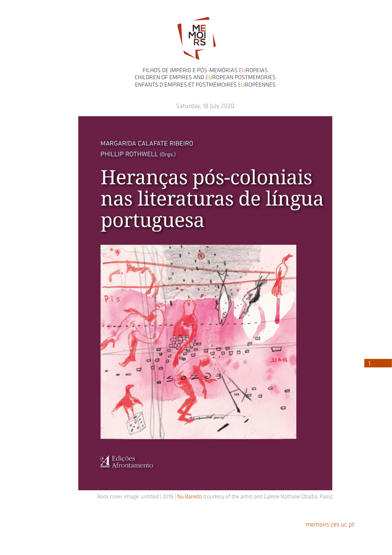

FILHOS DE IMPÉRIO E PÓS-MEMÓRIAS EUROPEIAS CHILDREN OF EMPIRES AND EUROPEAN POSTMEMORIES ENFANTS D'EMPIRES ET POSTMÉMOIRES EUROPÉENNES

Saturday, 18 July 2020

MARGARIDA CALAFATE RIBEIRO PHILLIP ROTHWELL (Orgs.)

## Heranças pós-coloniais nas literaturas de língua portuguesa



Book cover, image: *untitled* | 2018 | Nu Barreto (courtesy of the artist and Galerie Nathalie Obadia, Paris)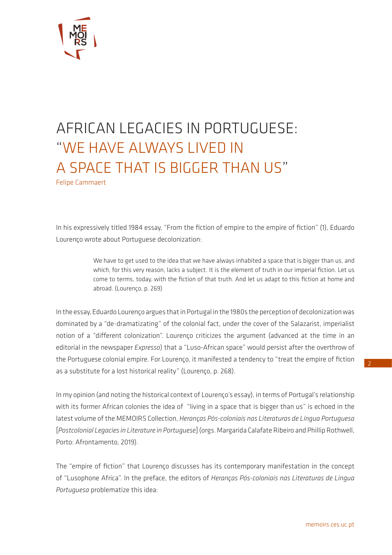

## AFRICAN LEGACIES IN PORTUGUESE: "WE HAVE ALWAYS LIVED IN A SPACE THAT IS BIGGER THAN US"

Felipe Cammaert

In his expressively titled 1984 essay, "From the fiction of empire to the empire of fiction" (1), Eduardo Lourenço wrote about Portuguese decolonization:

> We have to get used to the idea that we have always inhabited a space that is bigger than us, and which, for this very reason, lacks a subject. It is the element of truth in our imperial fiction. Let us come to terms, today, with the fiction of that truth. And let us adapt to this fiction at home and abroad. (Lourenço, p. 269)

In the essay, Eduardo Lourenço argues that in Portugal in the 1980s the perception of decolonization was dominated by a "de-dramatizating" of the colonial fact, under the cover of the Salazarist, imperialist notion of a "different colonization". Lourenço criticizes the argument (advanced at the time in an editorial in the newspaper *Expresso*) that a "Luso-African space" would persist after the overthrow of the Portuguese colonial empire. For Lourenço, it manifested a tendency to "treat the empire of fiction as a substitute for a lost historical reality" (Lourenço, p. 268).

In my opinion (and noting the historical context of Lourenço's essay), in terms of Portugal's relationship with its former African colonies the idea of "living in a space that is bigger than us" is echoed in the latest volume of the MEMOIRS Collection, *Heranças Pós-coloniais nas Literaturas de Língua Portuguesa*  [*Postcolonial Legacies in Literature in Portuguese*] (orgs. Margarida Calafate Ribeiro and Phillip Rothwell, Porto: Afrontamento, 2019).

The "empire of fiction" that Lourenço discusses has its contemporary manifestation in the concept of "Lusophone Africa". In the preface, the editors of *Heranças Pós-coloniais nas Literaturas de Língua Portuguesa* problematize this idea: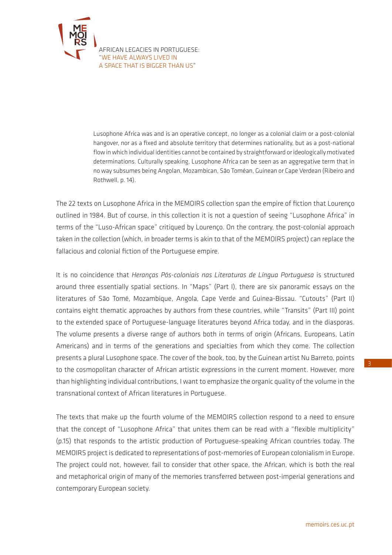

Lusophone Africa was and is an operative concept, no longer as a colonial claim or a post-colonial hangover, nor as a fixed and absolute territory that determines nationality, but as a post-national flow in which individual identities cannot be contained by straightforward or ideologically motivated determinations. Culturally speaking, Lusophone Africa can be seen as an aggregative term that in no way subsumes being Angolan, Mozambican, São Toméan, Guinean or Cape Verdean (Ribeiro and Rothwell, p. 14).

The 22 texts on Lusophone Africa in the MEMOIRS collection span the empire of fiction that Lourenço outlined in 1984. But of course, in this collection it is not a question of seeing "Lusophone Africa" in terms of the "Luso-African space" critiqued by Lourenço. On the contrary, the post-colonial approach taken in the collection (which, in broader terms is akin to that of the MEMOIRS project) can replace the fallacious and colonial fiction of the Portuguese empire.

It is no coincidence that *Heranças Pós-coloniais nas Literaturas de Língua Portuguesa* is structured around three essentially spatial sections. In "Maps" (Part I), there are six panoramic essays on the literatures of São Tomé, Mozambique, Angola, Cape Verde and Guinea-Bissau. "Cutouts" (Part II) contains eight thematic approaches by authors from these countries, while "Transits" (Part III) point to the extended space of Portuguese-language literatures beyond Africa today, and in the diasporas. The volume presents a diverse range of authors both in terms of origin (Africans, Europeans, Latin Americans) and in terms of the generations and specialties from which they come. The collection presents a plural Lusophone space. The cover of the book, too, by the Guinean artist Nu Barreto, points to the cosmopolitan character of African artistic expressions in the current moment. However, more than highlighting individual contributions, I want to emphasize the organic quality of the volume in the transnational context of African literatures in Portuguese.

The texts that make up the fourth volume of the MEMOIRS collection respond to a need to ensure that the concept of "Lusophone Africa" that unites them can be read with a "flexible multiplicity" (p.15) that responds to the artistic production of Portuguese-speaking African countries today. The MEMOIRS project is dedicated to representations of post-memories of European colonialism in Europe. The project could not, however, fail to consider that other space, the African, which is both the real and metaphorical origin of many of the memories transferred between post-imperial generations and contemporary European society.